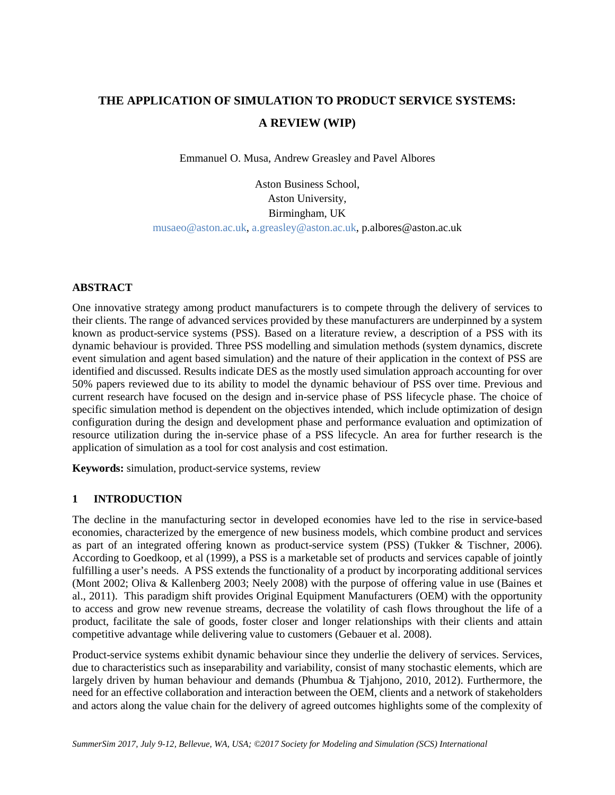# **THE APPLICATION OF SIMULATION TO PRODUCT SERVICE SYSTEMS: A REVIEW (WIP)**

Emmanuel O. Musa, Andrew Greasley and Pavel Albores

Aston Business School, Aston University, Birmingham, UK [musaeo@aston.ac.uk,](mailto:musaeo@aston.ac.uk) [a.greasley@aston.ac.uk,](mailto:a.greasley@aston.ac.uk) p.albores@aston.ac.uk

## **ABSTRACT**

One innovative strategy among product manufacturers is to compete through the delivery of services to their clients. The range of advanced services provided by these manufacturers are underpinned by a system known as product-service systems (PSS). Based on a literature review, a description of a PSS with its dynamic behaviour is provided. Three PSS modelling and simulation methods (system dynamics, discrete event simulation and agent based simulation) and the nature of their application in the context of PSS are identified and discussed. Results indicate DES as the mostly used simulation approach accounting for over 50% papers reviewed due to its ability to model the dynamic behaviour of PSS over time. Previous and current research have focused on the design and in-service phase of PSS lifecycle phase. The choice of specific simulation method is dependent on the objectives intended, which include optimization of design configuration during the design and development phase and performance evaluation and optimization of resource utilization during the in-service phase of a PSS lifecycle. An area for further research is the application of simulation as a tool for cost analysis and cost estimation.

**Keywords:** simulation, product-service systems, review

## **1 INTRODUCTION**

The decline in the manufacturing sector in developed economies have led to the rise in service-based economies, characterized by the emergence of new business models, which combine product and services as part of an integrated offering known as product-service system (PSS) (Tukker & Tischner, 2006). According to Goedkoop, et al (1999), a PSS is a marketable set of products and services capable of jointly fulfilling a user's needs. A PSS extends the functionality of a product by incorporating additional services (Mont 2002; Oliva & Kallenberg 2003; Neely 2008) with the purpose of offering value in use (Baines et al., 2011). This paradigm shift provides Original Equipment Manufacturers (OEM) with the opportunity to access and grow new revenue streams, decrease the volatility of cash flows throughout the life of a product, facilitate the sale of goods, foster closer and longer relationships with their clients and attain competitive advantage while delivering value to customers (Gebauer et al. 2008).

Product-service systems exhibit dynamic behaviour since they underlie the delivery of services. Services, due to characteristics such as inseparability and variability, consist of many stochastic elements, which are largely driven by human behaviour and demands (Phumbua & Tjahjono, 2010, 2012). Furthermore, the need for an effective collaboration and interaction between the OEM, clients and a network of stakeholders and actors along the value chain for the delivery of agreed outcomes highlights some of the complexity of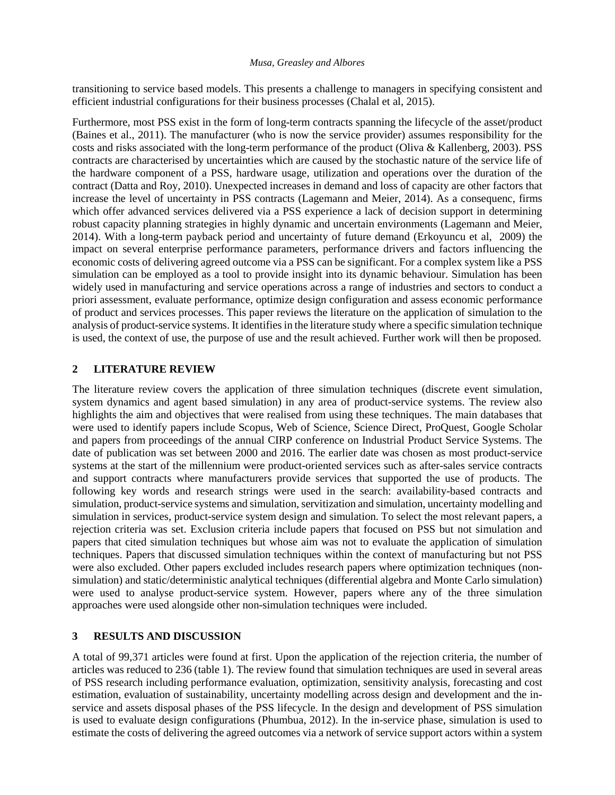#### *Musa, Greasley and Albores*

transitioning to service based models. This presents a challenge to managers in specifying consistent and efficient industrial configurations for their business processes (Chalal et al, 2015).

Furthermore, most PSS exist in the form of long-term contracts spanning the lifecycle of the asset/product (Baines et al., 2011). The manufacturer (who is now the service provider) assumes responsibility for the costs and risks associated with the long-term performance of the product (Oliva & Kallenberg, 2003). PSS contracts are characterised by uncertainties which are caused by the stochastic nature of the service life of the hardware component of a PSS, hardware usage, utilization and operations over the duration of the contract (Datta and Roy, 2010). Unexpected increases in demand and loss of capacity are other factors that increase the level of uncertainty in PSS contracts (Lagemann and Meier, 2014). As a consequenc, firms which offer advanced services delivered via a PSS experience a lack of decision support in determining robust capacity planning strategies in highly dynamic and uncertain environments (Lagemann and Meier, 2014). With a long-term payback period and uncertainty of future demand (Erkoyuncu et al, 2009) the impact on several enterprise performance parameters, performance drivers and factors influencing the economic costs of delivering agreed outcome via a PSS can be significant. For a complex system like a PSS simulation can be employed as a tool to provide insight into its dynamic behaviour. Simulation has been widely used in manufacturing and service operations across a range of industries and sectors to conduct a priori assessment, evaluate performance, optimize design configuration and assess economic performance of product and services processes. This paper reviews the literature on the application of simulation to the analysis of product-service systems. It identifies in the literature study where a specific simulation technique is used, the context of use, the purpose of use and the result achieved. Further work will then be proposed.

## **2 LITERATURE REVIEW**

The literature review covers the application of three simulation techniques (discrete event simulation, system dynamics and agent based simulation) in any area of product-service systems. The review also highlights the aim and objectives that were realised from using these techniques. The main databases that were used to identify papers include Scopus, Web of Science, Science Direct, ProQuest, Google Scholar and papers from proceedings of the annual CIRP conference on Industrial Product Service Systems. The date of publication was set between 2000 and 2016. The earlier date was chosen as most product-service systems at the start of the millennium were product-oriented services such as after-sales service contracts and support contracts where manufacturers provide services that supported the use of products. The following key words and research strings were used in the search: availability-based contracts and simulation, product-service systems and simulation, servitization and simulation, uncertainty modelling and simulation in services, product-service system design and simulation. To select the most relevant papers, a rejection criteria was set. Exclusion criteria include papers that focused on PSS but not simulation and papers that cited simulation techniques but whose aim was not to evaluate the application of simulation techniques. Papers that discussed simulation techniques within the context of manufacturing but not PSS were also excluded. Other papers excluded includes research papers where optimization techniques (nonsimulation) and static/deterministic analytical techniques (differential algebra and Monte Carlo simulation) were used to analyse product-service system. However, papers where any of the three simulation approaches were used alongside other non-simulation techniques were included.

## **3 RESULTS AND DISCUSSION**

A total of 99,371 articles were found at first. Upon the application of the rejection criteria, the number of articles was reduced to 236 (table 1). The review found that simulation techniques are used in several areas of PSS research including performance evaluation, optimization, sensitivity analysis, forecasting and cost estimation, evaluation of sustainability, uncertainty modelling across design and development and the inservice and assets disposal phases of the PSS lifecycle. In the design and development of PSS simulation is used to evaluate design configurations (Phumbua, 2012). In the in-service phase, simulation is used to estimate the costs of delivering the agreed outcomes via a network of service support actors within a system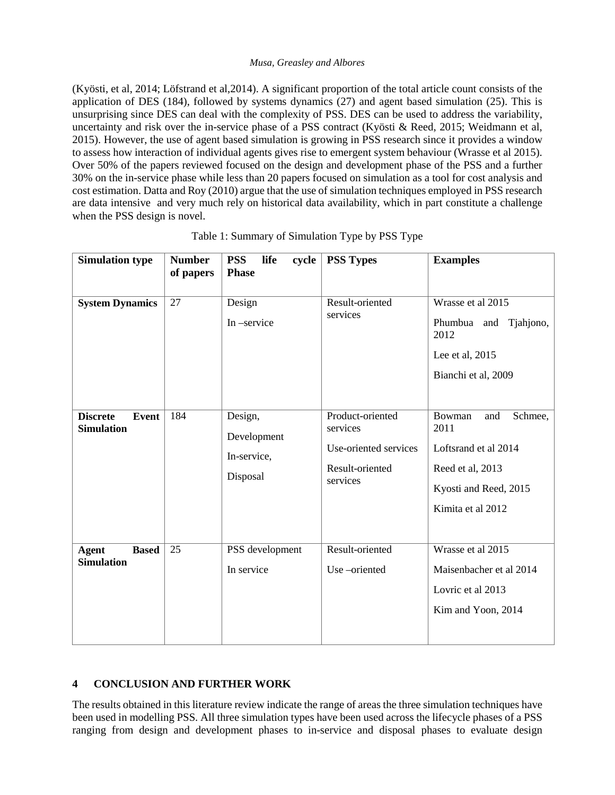#### *Musa, Greasley and Albores*

(Kyösti, et al, 2014; Löfstrand et al,2014). A significant proportion of the total article count consists of the application of DES (184), followed by systems dynamics (27) and agent based simulation (25). This is unsurprising since DES can deal with the complexity of PSS. DES can be used to address the variability, uncertainty and risk over the in-service phase of a PSS contract (Kyösti & Reed, 2015; Weidmann et al, 2015). However, the use of agent based simulation is growing in PSS research since it provides a window to assess how interaction of individual agents gives rise to emergent system behaviour (Wrasse et al 2015). Over 50% of the papers reviewed focused on the design and development phase of the PSS and a further 30% on the in-service phase while less than 20 papers focused on simulation as a tool for cost analysis and cost estimation. Datta and Roy (2010) argue that the use of simulation techniques employed in PSS research are data intensive and very much rely on historical data availability, which in part constitute a challenge when the PSS design is novel.

| <b>Simulation type</b>                               | <b>Number</b><br>of papers | <b>PSS</b><br>life<br>cycle<br><b>Phase</b>       | <b>PSS Types</b>                                                                     | <b>Examples</b>                                                                                                            |
|------------------------------------------------------|----------------------------|---------------------------------------------------|--------------------------------------------------------------------------------------|----------------------------------------------------------------------------------------------------------------------------|
|                                                      |                            |                                                   |                                                                                      |                                                                                                                            |
| <b>System Dynamics</b>                               | 27                         | Design<br>In-service                              | Result-oriented<br>services                                                          | Wrasse et al 2015<br>Phumbua<br>and Tjahjono,<br>2012<br>Lee et al, 2015<br>Bianchi et al, 2009                            |
| <b>Discrete</b><br><b>Event</b><br><b>Simulation</b> | 184                        | Design,<br>Development<br>In-service,<br>Disposal | Product-oriented<br>services<br>Use-oriented services<br>Result-oriented<br>services | Schmee,<br>Bowman<br>and<br>2011<br>Loftsrand et al 2014<br>Reed et al, 2013<br>Kyosti and Reed, 2015<br>Kimita et al 2012 |
| <b>Agent</b><br><b>Based</b><br><b>Simulation</b>    | 25                         | PSS development<br>In service                     | Result-oriented<br>Use-oriented                                                      | Wrasse et al 2015<br>Maisenbacher et al 2014<br>Lovric et al 2013<br>Kim and Yoon, 2014                                    |

|  | Table 1: Summary of Simulation Type by PSS Type |  |
|--|-------------------------------------------------|--|
|  |                                                 |  |

# **4 CONCLUSION AND FURTHER WORK**

The results obtained in this literature review indicate the range of areas the three simulation techniques have been used in modelling PSS. All three simulation types have been used across the lifecycle phases of a PSS ranging from design and development phases to in-service and disposal phases to evaluate design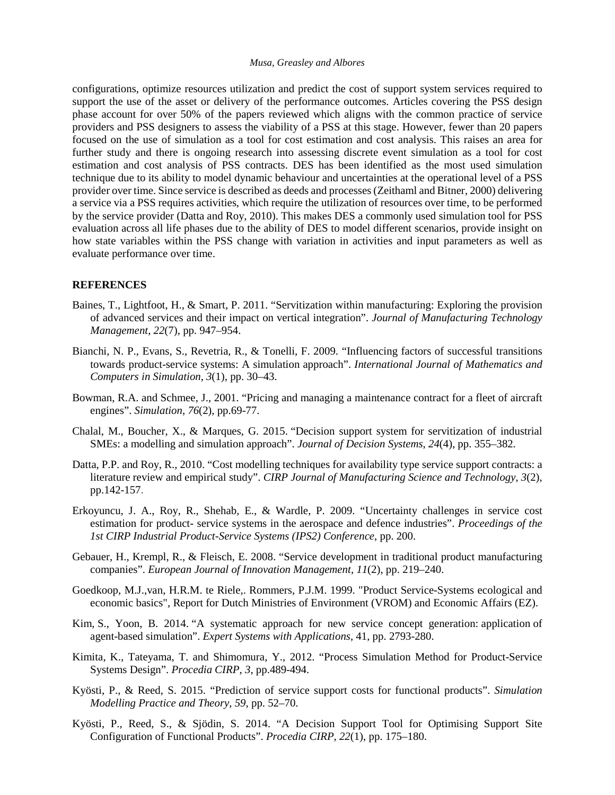#### *Musa, Greasley and Albores*

configurations, optimize resources utilization and predict the cost of support system services required to support the use of the asset or delivery of the performance outcomes. Articles covering the PSS design phase account for over 50% of the papers reviewed which aligns with the common practice of service providers and PSS designers to assess the viability of a PSS at this stage. However, fewer than 20 papers focused on the use of simulation as a tool for cost estimation and cost analysis. This raises an area for further study and there is ongoing research into assessing discrete event simulation as a tool for cost estimation and cost analysis of PSS contracts. DES has been identified as the most used simulation technique due to its ability to model dynamic behaviour and uncertainties at the operational level of a PSS provider over time. Since service is described as deeds and processes (Zeithaml and Bitner, 2000) delivering a service via a PSS requires activities, which require the utilization of resources over time, to be performed by the service provider (Datta and Roy, 2010). This makes DES a commonly used simulation tool for PSS evaluation across all life phases due to the ability of DES to model different scenarios, provide insight on how state variables within the PSS change with variation in activities and input parameters as well as evaluate performance over time.

#### **REFERENCES**

- Baines, T., Lightfoot, H., & Smart, P. 2011. "Servitization within manufacturing: Exploring the provision of advanced services and their impact on vertical integration". *Journal of Manufacturing Technology Management*, *22*(7), pp. 947–954.
- Bianchi, N. P., Evans, S., Revetria, R., & Tonelli, F. 2009. "Influencing factors of successful transitions towards product-service systems: A simulation approach". *International Journal of Mathematics and Computers in Simulation*, *3*(1), pp. 30–43.
- Bowman, R.A. and Schmee, J., 2001. "Pricing and managing a maintenance contract for a fleet of aircraft engines". *Simulation*, *76*(2), pp.69-77.
- Chalal, M., Boucher, X., & Marques, G. 2015. "Decision support system for servitization of industrial SMEs: a modelling and simulation approach". *Journal of Decision Systems*, *24*(4), pp. 355–382.
- Datta, P.P. and Roy, R., 2010. "Cost modelling techniques for availability type service support contracts: a literature review and empirical study". *CIRP Journal of Manufacturing Science and Technology*, *3*(2), pp.142-157.
- Erkoyuncu, J. A., Roy, R., Shehab, E., & Wardle, P. 2009. "Uncertainty challenges in service cost estimation for product- service systems in the aerospace and defence industries". *Proceedings of the 1st CIRP Industrial Product-Service Systems (IPS2) Conference*, pp. 200.
- Gebauer, H., Krempl, R., & Fleisch, E. 2008. "Service development in traditional product manufacturing companies". *European Journal of Innovation Management*, *11*(2), pp. 219–240.
- Goedkoop, M.J.,van, H.R.M. te Riele,. Rommers, P.J.M. 1999. "Product Service-Systems ecological and economic basics", Report for Dutch Ministries of Environment (VROM) and Economic Affairs (EZ).
- Kim, S., Yoon, B. 2014. "A systematic approach for new service concept generation: application of agent-based simulation". *Expert Systems with Applications*, 41, pp. 2793-280.
- Kimita, K., Tateyama, T. and Shimomura, Y., 2012. "Process Simulation Method for Product-Service Systems Design". *Procedia CIRP*, *3*, pp.489-494.
- Kyösti, P., & Reed, S. 2015. "Prediction of service support costs for functional products". *Simulation Modelling Practice and Theory*, *59*, pp. 52–70.
- Kyösti, P., Reed, S., & Sjödin, S. 2014. "A Decision Support Tool for Optimising Support Site Configuration of Functional Products". *Procedia CIRP*, *22*(1), pp. 175–180.